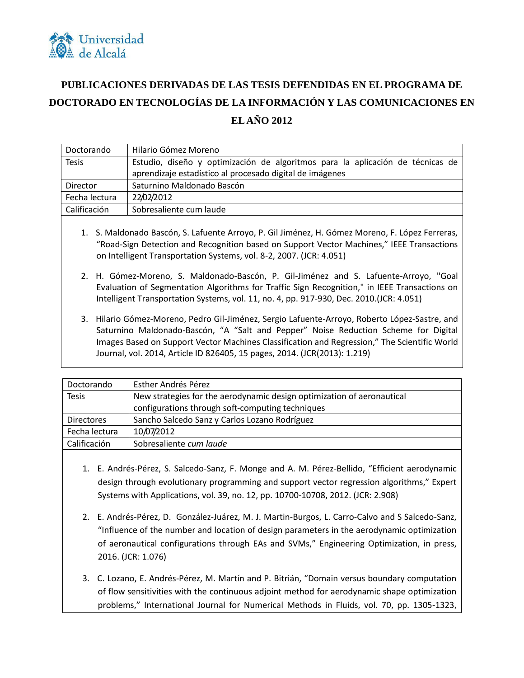

## **PUBLICACIONES DERIVADAS DE LAS TESIS DEFENDIDAS EN EL PROGRAMA DE DOCTORADO EN TECNOLOGÍAS DE LA INFORMACIÓN Y LAS COMUNICACIONES EN EL AÑO 2012**

| Doctorando    | Hilario Gómez Moreno                                                           |
|---------------|--------------------------------------------------------------------------------|
| <b>Tesis</b>  | Estudio, diseño y optimización de algoritmos para la aplicación de técnicas de |
|               | aprendizaje estadístico al procesado digital de imágenes                       |
| Director      | Saturnino Maldonado Bascón                                                     |
| Fecha lectura | 22/02/2012                                                                     |
| Calificación  | Sobresaliente cum laude                                                        |

- 1. S. Maldonado Bascón, S. Lafuente Arroyo, P. Gil Jiménez, H. Gómez Moreno, F. López Ferreras, "Road-Sign Detection and Recognition based on Support Vector Machines," IEEE Transactions on Intelligent Transportation Systems, vol. 8-2, 2007. (JCR: 4.051)
- 2. H. Gómez-Moreno, S. Maldonado-Bascón, P. Gil-Jiménez and S. Lafuente-Arroyo, "Goal Evaluation of Segmentation Algorithms for Traffic Sign Recognition," in IEEE Transactions on Intelligent Transportation Systems, vol. 11, no. 4, pp. 917-930, Dec. 2010.(JCR: 4.051)
- 3. Hilario Gómez-Moreno, Pedro Gil-Jiménez, Sergio Lafuente-Arroyo, Roberto López-Sastre, and Saturnino Maldonado-Bascón, "A "Salt and Pepper" Noise Reduction Scheme for Digital Images Based on Support Vector Machines Classification and Regression," The Scientific World Journal, vol. 2014, Article ID 826405, 15 pages, 2014. (JCR(2013): 1.219)

| Doctorando        | Esther Andrés Pérez                                                    |
|-------------------|------------------------------------------------------------------------|
| <b>Tesis</b>      | New strategies for the aerodynamic design optimization of aeronautical |
|                   | configurations through soft-computing techniques                       |
| <b>Directores</b> | Sancho Salcedo Sanz y Carlos Lozano Rodríguez                          |
| Fecha lectura     | 10/07/2012                                                             |
| Calificación      | Sobresaliente cum laude                                                |

- 1. E. Andrés-Pérez, S. Salcedo-Sanz, F. Monge and A. M. Pérez-Bellido, "Efficient aerodynamic design through evolutionary programming and support vector regression algorithms," Expert Systems with Applications, vol. 39, no. 12, pp. 10700-10708, 2012. (JCR: 2.908)
- 2. E. Andrés-Pérez, D. González-Juárez, M. J. Martin-Burgos, L. Carro-Calvo and S Salcedo-Sanz, "Influence of the number and location of design parameters in the aerodynamic optimization of aeronautical configurations through EAs and SVMs," Engineering Optimization, in press, 2016. (JCR: 1.076)
- 3. C. Lozano, E. Andrés-Pérez, M. Martín and P. Bitrián, "Domain versus boundary computation of flow sensitivities with the continuous adjoint method for aerodynamic shape optimization problems," International Journal for Numerical Methods in Fluids, vol. 70, pp. 1305-1323,